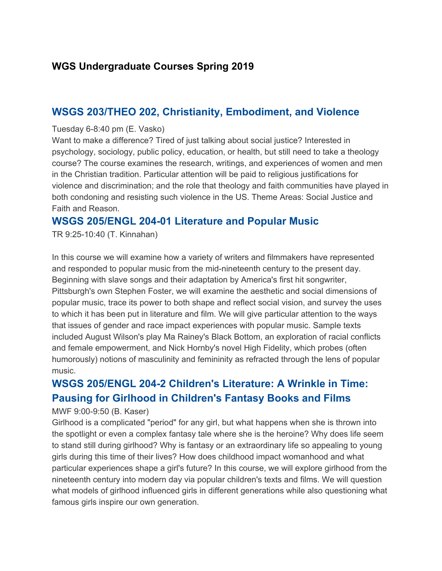### **WGS Undergraduate Courses Spring 2019**

### **WSGS 203/THEO 202, Christianity, Embodiment, and Violence**

#### Tuesday 6-8:40 pm (E. Vasko)

Want to make a difference? Tired of just talking about social justice? Interested in psychology, sociology, public policy, education, or health, but still need to take a theology course? The course examines the research, writings, and experiences of women and men in the Christian tradition. Particular attention will be paid to religious justifications for violence and discrimination; and the role that theology and faith communities have played in both condoning and resisting such violence in the US. Theme Areas: Social Justice and Faith and Reason.

#### **WSGS 205/ENGL 204-01 Literature and Popular Music**

TR 9:25-10:40 (T. Kinnahan)

In this course we will examine how a variety of writers and filmmakers have represented and responded to popular music from the mid-nineteenth century to the present day. Beginning with slave songs and their adaptation by America's first hit songwriter, Pittsburgh's own Stephen Foster, we will examine the aesthetic and social dimensions of popular music, trace its power to both shape and reflect social vision, and survey the uses to which it has been put in literature and film. We will give particular attention to the ways that issues of gender and race impact experiences with popular music. Sample texts included August Wilson's play Ma Rainey's Black Bottom, an exploration of racial conflicts and female empowerment, and Nick Hornby's novel High Fidelity, which probes (often humorously) notions of masculinity and femininity as refracted through the lens of popular music.

# **WSGS 205/ENGL 204-2 Children's Literature: A Wrinkle in Time: Pausing for Girlhood in Children's Fantasy Books and Films**

#### MWF 9:00-9:50 (B. Kaser)

Girlhood is a complicated "period" for any girl, but what happens when she is thrown into the spotlight or even a complex fantasy tale where she is the heroine? Why does life seem to stand still during girlhood? Why is fantasy or an extraordinary life so appealing to young girls during this time of their lives? How does childhood impact womanhood and what particular experiences shape a girl's future? In this course, we will explore girlhood from the nineteenth century into modern day via popular children's texts and films. We will question what models of girlhood influenced girls in different generations while also questioning what famous girls inspire our own generation.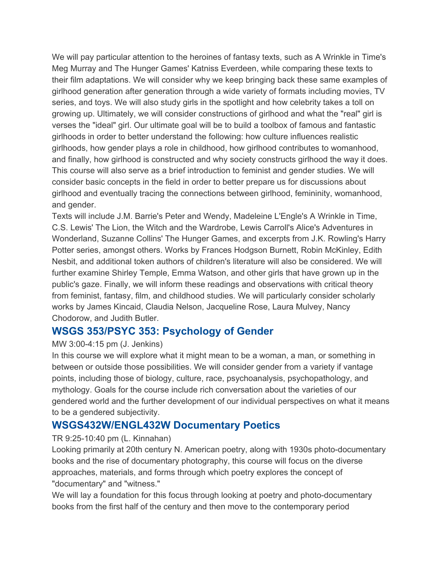We will pay particular attention to the heroines of fantasy texts, such as A Wrinkle in Time's Meg Murray and The Hunger Games' Katniss Everdeen, while comparing these texts to their film adaptations. We will consider why we keep bringing back these same examples of girlhood generation after generation through a wide variety of formats including movies, TV series, and toys. We will also study girls in the spotlight and how celebrity takes a toll on growing up. Ultimately, we will consider constructions of girlhood and what the "real" girl is verses the "ideal" girl. Our ultimate goal will be to build a toolbox of famous and fantastic girlhoods in order to better understand the following: how culture influences realistic girlhoods, how gender plays a role in childhood, how girlhood contributes to womanhood, and finally, how girlhood is constructed and why society constructs girlhood the way it does. This course will also serve as a brief introduction to feminist and gender studies. We will consider basic concepts in the field in order to better prepare us for discussions about girlhood and eventually tracing the connections between girlhood, femininity, womanhood, and gender.

Texts will include J.M. Barrie's Peter and Wendy, Madeleine L'Engle's A Wrinkle in Time, C.S. Lewis' The Lion, the Witch and the Wardrobe, Lewis Carroll's Alice's Adventures in Wonderland, Suzanne Collins' The Hunger Games, and excerpts from J.K. Rowling's Harry Potter series, amongst others. Works by Frances Hodgson Burnett, Robin McKinley, Edith Nesbit, and additional token authors of children's literature will also be considered. We will further examine Shirley Temple, Emma Watson, and other girls that have grown up in the public's gaze. Finally, we will inform these readings and observations with critical theory from feminist, fantasy, film, and childhood studies. We will particularly consider scholarly works by James Kincaid, Claudia Nelson, Jacqueline Rose, Laura Mulvey, Nancy Chodorow, and Judith Butler.

### **WSGS 353/PSYC 353: Psychology of Gender**

#### MW 3:00-4:15 pm (J. Jenkins)

In this course we will explore what it might mean to be a woman, a man, or something in between or outside those possibilities. We will consider gender from a variety if vantage points, including those of biology, culture, race, psychoanalysis, psychopathology, and mythology. Goals for the course include rich conversation about the varieties of our gendered world and the further development of our individual perspectives on what it means to be a gendered subjectivity.

## **WSGS432W/ENGL432W Documentary Poetics**

#### TR 9:25-10:40 pm (L. Kinnahan)

Looking primarily at 20th century N. American poetry, along with 1930s photo-documentary books and the rise of documentary photography, this course will focus on the diverse approaches, materials, and forms through which poetry explores the concept of "documentary" and "witness."

We will lay a foundation for this focus through looking at poetry and photo-documentary books from the first half of the century and then move to the contemporary period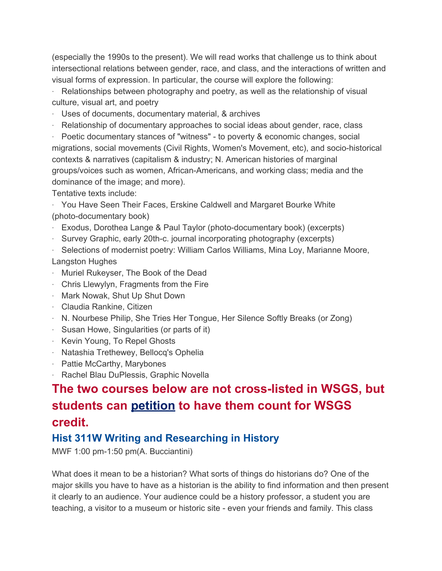(especially the 1990s to the present). We will read works that challenge us to think about intersectional relations between gender, race, and class, and the interactions of written and visual forms of expression. In particular, the course will explore the following:

· Relationships between photography and poetry, as well as the relationship of visual culture, visual art, and poetry

- · Uses of documents, documentary material, & archives
- · Relationship of documentary approaches to social ideas about gender, race, class

· Poetic documentary stances of "witness" - to poverty & economic changes, social migrations, social movements (Civil Rights, Women's Movement, etc), and socio-historical contexts & narratives (capitalism & industry; N. American histories of marginal groups/voices such as women, African-Americans, and working class; media and the dominance of the image; and more).

Tentative texts include:

· You Have Seen Their Faces, Erskine Caldwell and Margaret Bourke White (photo-documentary book)

- · Exodus, Dorothea Lange & Paul Taylor (photo-documentary book) (excerpts)
- · Survey Graphic, early 20th-c. journal incorporating photography (excerpts)
- · Selections of modernist poetry: William Carlos Williams, Mina Loy, Marianne Moore, Langston Hughes
- · Muriel Rukeyser, The Book of the Dead
- · Chris Llewylyn, Fragments from the Fire
- · Mark Nowak, Shut Up Shut Down
- · Claudia Rankine, Citizen
- · N. Nourbese Philip, She Tries Her Tongue, Her Silence Softly Breaks (or Zong)
- · Susan Howe, Singularities (or parts of it)
- · Kevin Young, To Repel Ghosts
- · Natashia Trethewey, Bellocq's Ophelia
- · Pattie McCarthy, Marybones
- · Rachel Blau DuPlessis, Graphic Novella

# **The two courses below are not cross-listed in WSGS, but students can [petition](https://form.jotform.com/62436279495973) to have them count for WSGS credit.**

## **Hist 311W Writing and Researching in History**

MWF 1:00 pm-1:50 pm(A. Bucciantini)

What does it mean to be a historian? What sorts of things do historians do? One of the major skills you have to have as a historian is the ability to find information and then present it clearly to an audience. Your audience could be a history professor, a student you are teaching, a visitor to a museum or historic site - even your friends and family. This class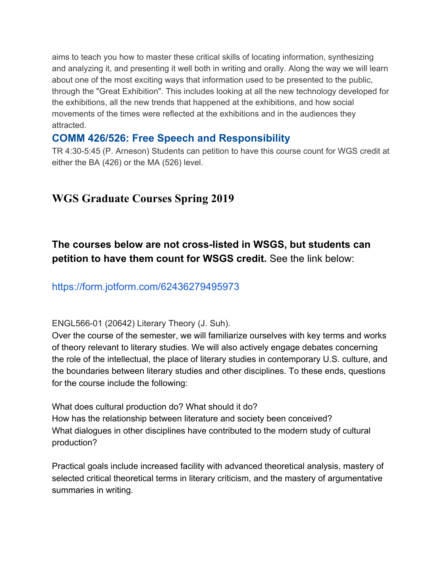aims to teach you how to master these critical skills of locating information, synthesizing and analyzing it, and presenting it well both in writing and orally. Along the way we will learn about one of the most exciting ways that information used to be presented to the public, through the "Great Exhibition". This includes looking at all the new technology developed for the exhibitions, all the new trends that happened at the exhibitions, and how social movements of the times were reflected at the exhibitions and in the audiences they attracted.

### **COMM 426/526: Free Speech and Responsibility**

TR 4:30-5:45 (P. Arneson) Students can petition to have this course count for WGS credit at either the BA (426) or the MA (526) level.

# **WGS Graduate Courses Spring 2019**

# **The courses below are not cross-listed in WSGS, but students can petition to have them count for WSGS credit.** See the link below:

https://form.jotform.com/62436279495973

ENGL566-01 (20642) Literary Theory (J. Suh).

Over the course of the semester, we will familiarize ourselves with key terms and works of theory relevant to literary studies. We will also actively engage debates concerning the role of the intellectual, the place of literary studies in contemporary U.S. culture, and the boundaries between literary studies and other disciplines. To these ends, questions for the course include the following:

What does cultural production do? What should it do? How has the relationship between literature and society been conceived? What dialogues in other disciplines have contributed to the modern study of cultural production?

Practical goals include increased facility with advanced theoretical analysis, mastery of selected critical theoretical terms in literary criticism, and the mastery of argumentative summaries in writing.